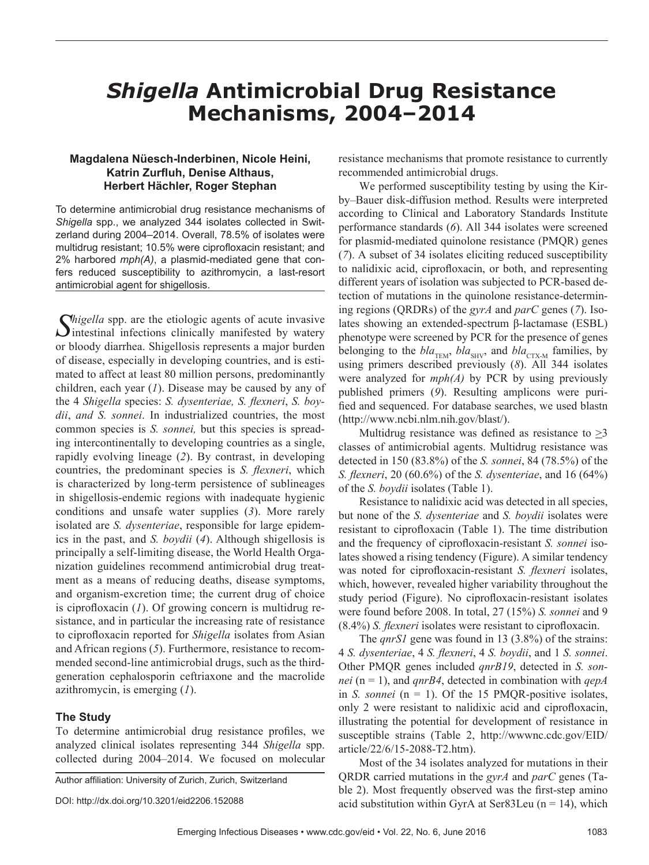# *Shigella* **Antimicrobial Drug Resistance Mechanisms, 2004–2014**

### **Magdalena Nüesch-Inderbinen, Nicole Heini, Katrin Zurfluh, Denise Althaus, Herbert Hächler, Roger Stephan**

To determine antimicrobial drug resistance mechanisms of *Shigella* spp., we analyzed 344 isolates collected in Switzerland during 2004–2014. Overall, 78.5% of isolates were multidrug resistant; 10.5% were ciprofloxacin resistant; and 2% harbored *mph(A)*, a plasmid-mediated gene that confers reduced susceptibility to azithromycin, a last-resort antimicrobial agent for shigellosis.

*Shigella* spp. are the etiologic agents of acute invasive  $\bigcup$  intestinal infections clinically manifested by watery or bloody diarrhea. Shigellosis represents a major burden of disease, especially in developing countries, and is estimated to affect at least 80 million persons, predominantly children, each year (*1*). Disease may be caused by any of the 4 *Shigella* species: *S. dysenteriae, S. flexneri*, *S. boydii*, *and S. sonnei*. In industrialized countries, the most common species is *S. sonnei,* but this species is spreading intercontinentally to developing countries as a single, rapidly evolving lineage (*2*). By contrast, in developing countries, the predominant species is *S. flexneri*, which is characterized by long-term persistence of sublineages in shigellosis-endemic regions with inadequate hygienic conditions and unsafe water supplies (*3*). More rarely isolated are *S. dysenteriae*, responsible for large epidemics in the past, and *S. boydii* (*4*). Although shigellosis is principally a self-limiting disease, the World Health Organization guidelines recommend antimicrobial drug treatment as a means of reducing deaths, disease symptoms, and organism-excretion time; the current drug of choice is ciprofloxacin (*1*). Of growing concern is multidrug resistance, and in particular the increasing rate of resistance to ciprofloxacin reported for *Shigella* isolates from Asian and African regions (*5*). Furthermore, resistance to recommended second-line antimicrobial drugs, such as the thirdgeneration cephalosporin ceftriaxone and the macrolide azithromycin, is emerging (*1*).

## **The Study**

To determine antimicrobial drug resistance profiles, we analyzed clinical isolates representing 344 *Shigella* spp. collected during 2004–2014. We focused on molecular

Author affiliation: University of Zurich, Zurich, Switzerland

resistance mechanisms that promote resistance to currently recommended antimicrobial drugs.

We performed susceptibility testing by using the Kirby–Bauer disk-diffusion method. Results were interpreted according to Clinical and Laboratory Standards Institute performance standards (*6*). All 344 isolates were screened for plasmid-mediated quinolone resistance (PMQR) genes (*7*). A subset of 34 isolates eliciting reduced susceptibility to nalidixic acid, ciprofloxacin, or both, and representing different years of isolation was subjected to PCR-based detection of mutations in the quinolone resistance-determining regions (QRDRs) of the *gyrA* and *parC* genes (*7*). Isolates showing an extended-spectrum β-lactamase (ESBL) phenotype were screened by PCR for the presence of genes belonging to the  $bla_{\text{TEM}}$ ,  $bla_{\text{SHV}}$ , and  $bla_{\text{CTX-M}}$  families, by using primers described previously (*8*). All 344 isolates were analyzed for *mph(A)* by PCR by using previously published primers (*9*). Resulting amplicons were purified and sequenced. For database searches, we used blastn (http://www.ncbi.nlm.nih.gov/blast/).

Multidrug resistance was defined as resistance to  $>3$ classes of antimicrobial agents. Multidrug resistance was detected in 150 (83.8%) of the *S. sonnei*, 84 (78.5%) of the *S. flexneri*, 20 (60.6%) of the *S. dysenteriae*, and 16 (64%) of the *S. boydii* isolates (Table 1).

Resistance to nalidixic acid was detected in all species, but none of the *S. dysenteriae* and *S. boydii* isolates were resistant to ciprofloxacin (Table 1). The time distribution and the frequency of ciprofloxacin-resistant *S. sonnei* isolates showed a rising tendency (Figure). A similar tendency was noted for ciprofloxacin-resistant *S. flexneri* isolates, which, however, revealed higher variability throughout the study period (Figure). No ciprofloxacin-resistant isolates were found before 2008. In total, 27 (15%) *S. sonnei* and 9 (8.4%) *S. flexneri* isolates were resistant to ciprofloxacin.

The *qnrS1* gene was found in 13 (3.8%) of the strains: 4 *S. dysenteriae*, 4 *S. flexneri*, 4 *S. boydii*, and 1 *S. sonnei*. Other PMQR genes included *qnrB19*, detected in *S. sonnei* (n = 1), and *qnrB4*, detected in combination with *qepA* in *S. sonnei* (n = 1). Of the 15 PMQR-positive isolates, only 2 were resistant to nalidixic acid and ciprofloxacin, illustrating the potential for development of resistance in susceptible strains (Table 2, http://wwwnc.cdc.gov/EID/ article/22/6/15-2088-T2.htm).

Most of the 34 isolates analyzed for mutations in their QRDR carried mutations in the *gyrA* and *parC* genes (Table 2). Most frequently observed was the first-step amino acid substitution within GyrA at Ser83Leu  $(n = 14)$ , which

DOI: http://dx.doi.org/10.3201/eid2206.152088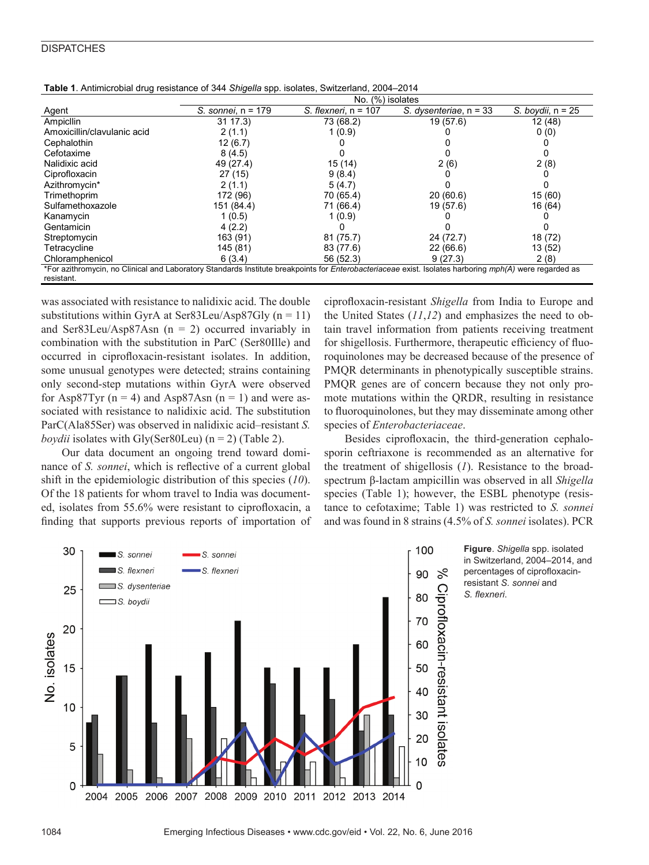#### **DISPATCHES**

| Agent                                                                                                                                                                              | No. (%) isolates   |                      |                          |                     |
|------------------------------------------------------------------------------------------------------------------------------------------------------------------------------------|--------------------|----------------------|--------------------------|---------------------|
|                                                                                                                                                                                    | S. sonnei, n = 179 | S. flexneri, n = 107 | S. dysenteriae, $n = 33$ | S. boydii, $n = 25$ |
| AmpicIlin                                                                                                                                                                          | 31 17.3)           | 73 (68.2)            | 19 (57.6)                | 12 (48)             |
| Amoxicillin/clavulanic acid                                                                                                                                                        | 2(1.1)             | 1(0.9)               |                          | 0(0)                |
| Cephalothin                                                                                                                                                                        | 12(6.7)            |                      |                          |                     |
| Cefotaxime                                                                                                                                                                         | 8(4.5)             |                      |                          |                     |
| Nalidixic acid                                                                                                                                                                     | 49 (27.4)          | 15(14)               | 2(6)                     | 2(8)                |
| Ciprofloxacin                                                                                                                                                                      | 27(15)             | 9(8.4)               |                          |                     |
| Azithromycin*                                                                                                                                                                      | 2(1.1)             | 5(4.7)               |                          |                     |
| Trimethoprim                                                                                                                                                                       | 172 (96)           | 70 (65.4)            | 20(60.6)                 | 15 (60)             |
| Sulfamethoxazole                                                                                                                                                                   | 151 (84.4)         | 71 (66.4)            | 19 (57.6)                | 16 (64)             |
| Kanamycin                                                                                                                                                                          | 1(0.5)             | 1(0.9)               |                          |                     |
| Gentamicin                                                                                                                                                                         | 4(2.2)             |                      |                          |                     |
| Streptomycin                                                                                                                                                                       | 163 (91)           | 81 (75.7)            | 24(72.7)                 | 18 (72)             |
| Tetracycline                                                                                                                                                                       | 145 (81)           | 83 (77.6)            | 22(66.6)                 | 13 (52)             |
| Chloramphenicol                                                                                                                                                                    | 6(3.4)             | 56 (52.3)            | 9(27.3)                  | 2(8)                |
| *For azithromycin, no Clinical and Laboratory Standards Institute breakpoints for <i>Enterobacteriaceae</i> exist. Isolates harboring <i>mph(A)</i> were regarded as<br>resistant. |                    |                      |                          |                     |

**Table 1**. Antimicrobial drug resistance of 344 *Shigella* spp. isolates, Switzerland, 2004–2014

was associated with resistance to nalidixic acid. The double substitutions within GyrA at Ser83Leu/Asp87Gly  $(n = 11)$ and Ser83Leu/Asp87Asn  $(n = 2)$  occurred invariably in combination with the substitution in ParC (Ser80Ille) and occurred in ciprofloxacin-resistant isolates. In addition, some unusual genotypes were detected; strains containing only second-step mutations within GyrA were observed for Asp87Tyr  $(n = 4)$  and Asp87Asn  $(n = 1)$  and were associated with resistance to nalidixic acid. The substitution ParC(Ala85Ser) was observed in nalidixic acid–resistant *S. boydii* isolates with Gly(Ser80Leu)  $(n = 2)$  (Table 2).

Our data document an ongoing trend toward dominance of *S. sonnei*, which is reflective of a current global shift in the epidemiologic distribution of this species (*10*). Of the 18 patients for whom travel to India was documented, isolates from 55.6% were resistant to ciprofloxacin, a finding that supports previous reports of importation of ciprofloxacin-resistant *Shigella* from India to Europe and the United States (*11*,*12*) and emphasizes the need to obtain travel information from patients receiving treatment for shigellosis. Furthermore, therapeutic efficiency of fluoroquinolones may be decreased because of the presence of PMQR determinants in phenotypically susceptible strains. PMQR genes are of concern because they not only promote mutations within the QRDR, resulting in resistance to fluoroquinolones, but they may disseminate among other species of *Enterobacteriaceae*.

Besides ciprofloxacin, the third-generation cephalosporin ceftriaxone is recommended as an alternative for the treatment of shigellosis (*1*). Resistance to the broadspectrum β-lactam ampicillin was observed in all *Shigella* species (Table 1); however, the ESBL phenotype (resistance to cefotaxime; Table 1) was restricted to *S. sonnei* and was found in 8 strains (4.5% of *S. sonnei* isolates). PCR



**Figure**. *Shigella* spp. isolated in Switzerland, 2004–2014, and percentages of ciprofloxacinresistant *S. sonnei* and